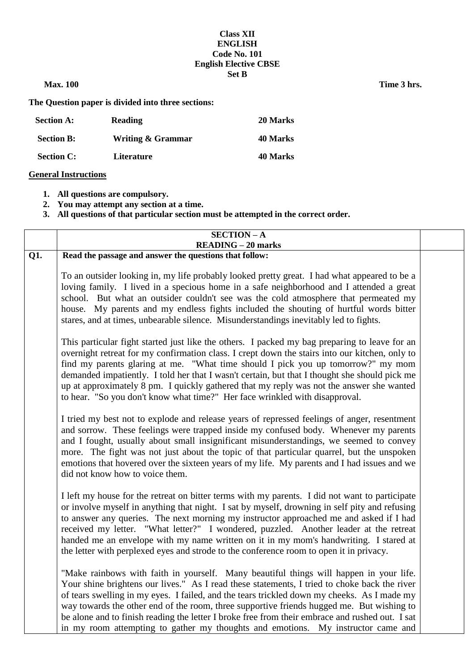## **Class XII ENGLISH Code No. 101 English Elective CBSE Set B**

**Max.** 100 Time 3 hrs.

**The Question paper is divided into three sections:**

| <b>Section A:</b> | Reading                      | 20 Marks |
|-------------------|------------------------------|----------|
| <b>Section B:</b> | <b>Writing &amp; Grammar</b> | 40 Marks |
| <b>Section C:</b> | Literature                   | 40 Marks |

## **General Instructions**

- **1. All questions are compulsory.**
- **2. You may attempt any section at a time.**
- **3. All questions of that particular section must be attempted in the correct order.**

|     | <b>SECTION-A</b>                                                                                                                                                                                                                                                                                                                                                                                                                                                                                                                                                                                                                                               |  |
|-----|----------------------------------------------------------------------------------------------------------------------------------------------------------------------------------------------------------------------------------------------------------------------------------------------------------------------------------------------------------------------------------------------------------------------------------------------------------------------------------------------------------------------------------------------------------------------------------------------------------------------------------------------------------------|--|
|     | <b>READING - 20 marks</b>                                                                                                                                                                                                                                                                                                                                                                                                                                                                                                                                                                                                                                      |  |
| Q1. | Read the passage and answer the questions that follow:                                                                                                                                                                                                                                                                                                                                                                                                                                                                                                                                                                                                         |  |
|     | To an outsider looking in, my life probably looked pretty great. I had what appeared to be a<br>loving family. I lived in a specious home in a safe neighborhood and I attended a great<br>school. But what an outsider couldn't see was the cold atmosphere that permeated my<br>house. My parents and my endless fights included the shouting of hurtful words bitter                                                                                                                                                                                                                                                                                        |  |
|     | stares, and at times, unbearable silence. Misunderstandings inevitably led to fights.                                                                                                                                                                                                                                                                                                                                                                                                                                                                                                                                                                          |  |
|     | This particular fight started just like the others. I packed my bag preparing to leave for an<br>overnight retreat for my confirmation class. I crept down the stairs into our kitchen, only to<br>find my parents glaring at me. "What time should I pick you up tomorrow?" my mom<br>demanded impatiently. I told her that I wasn't certain, but that I thought she should pick me<br>up at approximately 8 pm. I quickly gathered that my reply was not the answer she wanted<br>to hear. "So you don't know what time?" Her face wrinkled with disapproval.<br>I tried my best not to explode and release years of repressed feelings of anger, resentment |  |
|     | and sorrow. These feelings were trapped inside my confused body. Whenever my parents<br>and I fought, usually about small insignificant misunderstandings, we seemed to convey<br>more. The fight was not just about the topic of that particular quarrel, but the unspoken<br>emotions that hovered over the sixteen years of my life. My parents and I had issues and we<br>did not know how to voice them.                                                                                                                                                                                                                                                  |  |
|     | I left my house for the retreat on bitter terms with my parents. I did not want to participate<br>or involve myself in anything that night. I sat by myself, drowning in self pity and refusing<br>to answer any queries. The next morning my instructor approached me and asked if I had<br>received my letter. "What letter?" I wondered, puzzled. Another leader at the retreat<br>handed me an envelope with my name written on it in my mom's handwriting. I stared at<br>the letter with perplexed eyes and strode to the conference room to open it in privacy.                                                                                         |  |
|     | "Make rainbows with faith in yourself. Many beautiful things will happen in your life.<br>Your shine brightens our lives." As I read these statements, I tried to choke back the river<br>of tears swelling in my eyes. I failed, and the tears trickled down my cheeks. As I made my<br>way towards the other end of the room, three supportive friends hugged me. But wishing to<br>be alone and to finish reading the letter I broke free from their embrace and rushed out. I sat<br>in my room attempting to gather my thoughts and emotions. My instructor came and                                                                                      |  |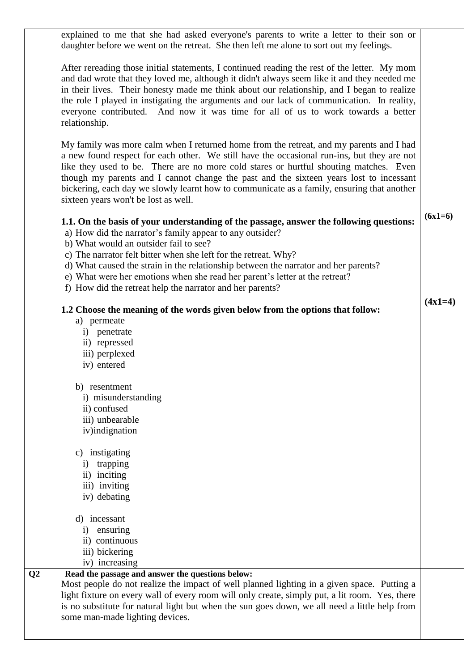|                 | explained to me that she had asked everyone's parents to write a letter to their son or<br>daughter before we went on the retreat. She then left me alone to sort out my feelings.                                                                                                                                                                                                                                                                                                                             |           |
|-----------------|----------------------------------------------------------------------------------------------------------------------------------------------------------------------------------------------------------------------------------------------------------------------------------------------------------------------------------------------------------------------------------------------------------------------------------------------------------------------------------------------------------------|-----------|
|                 | After rereading those initial statements, I continued reading the rest of the letter. My mom<br>and dad wrote that they loved me, although it didn't always seem like it and they needed me<br>in their lives. Their honesty made me think about our relationship, and I began to realize<br>the role I played in instigating the arguments and our lack of communication. In reality,<br>everyone contributed. And now it was time for all of us to work towards a better<br>relationship.                    |           |
|                 | My family was more calm when I returned home from the retreat, and my parents and I had<br>a new found respect for each other. We still have the occasional run-ins, but they are not<br>like they used to be. There are no more cold stares or hurtful shouting matches. Even<br>though my parents and I cannot change the past and the sixteen years lost to incessant<br>bickering, each day we slowly learnt how to communicate as a family, ensuring that another<br>sixteen years won't be lost as well. |           |
|                 | 1.1. On the basis of your understanding of the passage, answer the following questions:<br>a) How did the narrator's family appear to any outsider?                                                                                                                                                                                                                                                                                                                                                            | $(6x1=6)$ |
|                 | b) What would an outsider fail to see?                                                                                                                                                                                                                                                                                                                                                                                                                                                                         |           |
|                 | c) The narrator felt bitter when she left for the retreat. Why?                                                                                                                                                                                                                                                                                                                                                                                                                                                |           |
|                 | d) What caused the strain in the relationship between the narrator and her parents?                                                                                                                                                                                                                                                                                                                                                                                                                            |           |
|                 | e) What were her emotions when she read her parent's letter at the retreat?                                                                                                                                                                                                                                                                                                                                                                                                                                    |           |
|                 | f) How did the retreat help the narrator and her parents?                                                                                                                                                                                                                                                                                                                                                                                                                                                      |           |
|                 | 1.2 Choose the meaning of the words given below from the options that follow:<br>a) permeate                                                                                                                                                                                                                                                                                                                                                                                                                   | $(4x1=4)$ |
|                 | i) penetrate                                                                                                                                                                                                                                                                                                                                                                                                                                                                                                   |           |
|                 | ii) repressed                                                                                                                                                                                                                                                                                                                                                                                                                                                                                                  |           |
|                 | iii) perplexed                                                                                                                                                                                                                                                                                                                                                                                                                                                                                                 |           |
|                 | iv) entered                                                                                                                                                                                                                                                                                                                                                                                                                                                                                                    |           |
|                 |                                                                                                                                                                                                                                                                                                                                                                                                                                                                                                                |           |
|                 | b) resentment                                                                                                                                                                                                                                                                                                                                                                                                                                                                                                  |           |
|                 | i) misunderstanding                                                                                                                                                                                                                                                                                                                                                                                                                                                                                            |           |
|                 | ii) confused                                                                                                                                                                                                                                                                                                                                                                                                                                                                                                   |           |
|                 | iii) unbearable                                                                                                                                                                                                                                                                                                                                                                                                                                                                                                |           |
|                 | iv)indignation                                                                                                                                                                                                                                                                                                                                                                                                                                                                                                 |           |
|                 |                                                                                                                                                                                                                                                                                                                                                                                                                                                                                                                |           |
|                 | c) instigating                                                                                                                                                                                                                                                                                                                                                                                                                                                                                                 |           |
|                 | trapping<br>$\mathbf{i}$                                                                                                                                                                                                                                                                                                                                                                                                                                                                                       |           |
|                 | ii) inciting                                                                                                                                                                                                                                                                                                                                                                                                                                                                                                   |           |
|                 | iii) inviting<br>iv) debating                                                                                                                                                                                                                                                                                                                                                                                                                                                                                  |           |
|                 |                                                                                                                                                                                                                                                                                                                                                                                                                                                                                                                |           |
|                 | d) incessant                                                                                                                                                                                                                                                                                                                                                                                                                                                                                                   |           |
|                 | i) ensuring                                                                                                                                                                                                                                                                                                                                                                                                                                                                                                    |           |
|                 | ii) continuous                                                                                                                                                                                                                                                                                                                                                                                                                                                                                                 |           |
|                 | iii) bickering                                                                                                                                                                                                                                                                                                                                                                                                                                                                                                 |           |
|                 | iv) increasing                                                                                                                                                                                                                                                                                                                                                                                                                                                                                                 |           |
| $\overline{Q}2$ | Read the passage and answer the questions below:                                                                                                                                                                                                                                                                                                                                                                                                                                                               |           |
|                 | Most people do not realize the impact of well planned lighting in a given space. Putting a                                                                                                                                                                                                                                                                                                                                                                                                                     |           |
|                 | light fixture on every wall of every room will only create, simply put, a lit room. Yes, there                                                                                                                                                                                                                                                                                                                                                                                                                 |           |
|                 | is no substitute for natural light but when the sun goes down, we all need a little help from                                                                                                                                                                                                                                                                                                                                                                                                                  |           |
|                 | some man-made lighting devices.                                                                                                                                                                                                                                                                                                                                                                                                                                                                                |           |
|                 |                                                                                                                                                                                                                                                                                                                                                                                                                                                                                                                |           |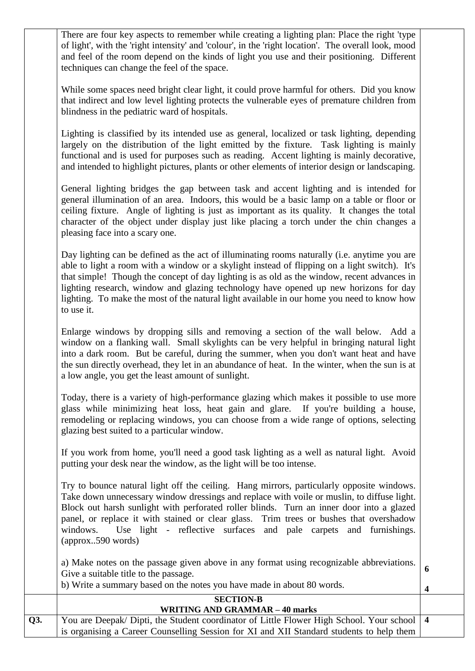There are four key aspects to remember while creating a lighting plan: Place the right 'type of light', with the 'right intensity' and 'colour', in the 'right location'. The overall look, mood and feel of the room depend on the kinds of light you use and their positioning. Different techniques can change the feel of the space.

While some spaces need bright clear light, it could prove harmful for others. Did you know that indirect and low level lighting protects the vulnerable eyes of premature children from blindness in the pediatric ward of hospitals.

Lighting is classified by its intended use as general, localized or task lighting, depending largely on the distribution of the light emitted by the fixture. Task lighting is mainly functional and is used for purposes such as reading. Accent lighting is mainly decorative, and intended to highlight pictures, plants or other elements of interior design or landscaping.

General lighting bridges the gap between task and accent lighting and is intended for general illumination of an area. Indoors, this would be a basic lamp on a table or floor or ceiling fixture. Angle of lighting is just as important as its quality. It changes the total character of the object under display just like placing a torch under the chin changes a pleasing face into a scary one.

Day lighting can be defined as the act of illuminating rooms naturally (i.e. anytime you are able to light a room with a window or a skylight instead of flipping on a light switch). It's that simple! Though the concept of day lighting is as old as the window, recent advances in lighting research, window and glazing technology have opened up new horizons for day lighting. To make the most of the natural light available in our home you need to know how to use it.

Enlarge windows by dropping sills and removing a section of the wall below. Add a window on a flanking wall. Small skylights can be very helpful in bringing natural light into a dark room. But be careful, during the summer, when you don't want heat and have the sun directly overhead, they let in an abundance of heat. In the winter, when the sun is at a low angle, you get the least amount of sunlight.

Today, there is a variety of high-performance glazing which makes it possible to use more glass while minimizing heat loss, heat gain and glare. If you're building a house, remodeling or replacing windows, you can choose from a wide range of options, selecting glazing best suited to a particular window.

If you work from home, you'll need a good task lighting as a well as natural light. Avoid putting your desk near the window, as the light will be too intense.

Try to bounce natural light off the ceiling. Hang mirrors, particularly opposite windows. Take down unnecessary window dressings and replace with voile or muslin, to diffuse light. Block out harsh sunlight with perforated roller blinds. Turn an inner door into a glazed panel, or replace it with stained or clear glass. Trim trees or bushes that overshadow windows. Use light - reflective surfaces and pale carpets and furnishings. (approx..590 words)

a) Make notes on the passage given above in any format using recognizable abbreviations. Give a suitable title to the passage. **6**

**4**

b) Write a summary based on the notes you have made in about 80 words.

|     | <b>SECTION-B</b><br>WRITING AND GRAMMAR – 40 marks                                           |  |
|-----|----------------------------------------------------------------------------------------------|--|
| Q3. | You are Deepak/ Dipti, the Student coordinator of Little Flower High School. Your school   4 |  |
|     | is organising a Career Counselling Session for XI and XII Standard students to help them     |  |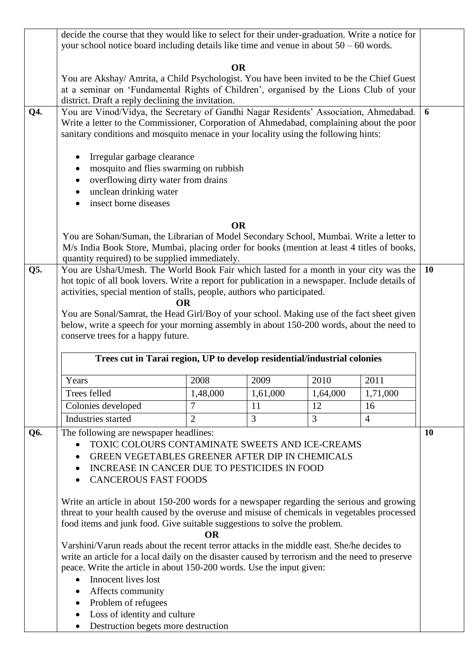|     | decide the course that they would like to select for their under-graduation. Write a notice for<br>your school notice board including details like time and venue in about $50 - 60$ words.                                                                                                                                                                                                                                                                                                                                    |                |                |          |                |           |
|-----|--------------------------------------------------------------------------------------------------------------------------------------------------------------------------------------------------------------------------------------------------------------------------------------------------------------------------------------------------------------------------------------------------------------------------------------------------------------------------------------------------------------------------------|----------------|----------------|----------|----------------|-----------|
| Q4. | You are Akshay/ Amrita, a Child Psychologist. You have been invited to be the Chief Guest<br>at a seminar on 'Fundamental Rights of Children', organised by the Lions Club of your<br>district. Draft a reply declining the invitation.<br>You are Vinod/Vidya, the Secretary of Gandhi Nagar Residents' Association, Ahmedabad.                                                                                                                                                                                               |                | <b>OR</b>      |          |                | 6         |
|     | Write a letter to the Commissioner, Corporation of Ahmedabad, complaining about the poor<br>sanitary conditions and mosquito menace in your locality using the following hints:<br>Irregular garbage clearance<br>$\bullet$<br>mosquito and flies swarming on rubbish<br>overflowing dirty water from drains                                                                                                                                                                                                                   |                |                |          |                |           |
|     | unclean drinking water<br>$\bullet$<br>insect borne diseases                                                                                                                                                                                                                                                                                                                                                                                                                                                                   |                |                |          |                |           |
|     | You are Sohan/Suman, the Librarian of Model Secondary School, Mumbai. Write a letter to<br>M/s India Book Store, Mumbai, placing order for books (mention at least 4 titles of books,<br>quantity required) to be supplied immediately.                                                                                                                                                                                                                                                                                        |                | <b>OR</b>      |          |                |           |
|     | Q5.<br>You are Usha/Umesh. The World Book Fair which lasted for a month in your city was the<br>hot topic of all book lovers. Write a report for publication in a newspaper. Include details of<br>activities, special mention of stalls, people, authors who participated.<br>OR<br>You are Sonal/Samrat, the Head Girl/Boy of your school. Making use of the fact sheet given<br>below, write a speech for your morning assembly in about 150-200 words, about the need to<br>conserve trees for a happy future.             |                |                |          |                | <b>10</b> |
|     | Trees cut in Tarai region, UP to develop residential/industrial colonies                                                                                                                                                                                                                                                                                                                                                                                                                                                       |                |                |          |                |           |
|     | Years                                                                                                                                                                                                                                                                                                                                                                                                                                                                                                                          | 2008           | 2009           | 2010     | 2011           |           |
|     | Trees felled                                                                                                                                                                                                                                                                                                                                                                                                                                                                                                                   | 1,48,000       | 1,61,000       | 1,64,000 | 1,71,000       |           |
|     | Colonies developed                                                                                                                                                                                                                                                                                                                                                                                                                                                                                                             | 7              | 11             | 12       | 16             |           |
|     | Industries started                                                                                                                                                                                                                                                                                                                                                                                                                                                                                                             | $\overline{2}$ | $\overline{3}$ | 3        | $\overline{4}$ |           |
| Q6. | The following are newspaper headlines:<br>TOXIC COLOURS CONTAMINATE SWEETS AND ICE-CREAMS<br>GREEN VEGETABLES GREENER AFTER DIP IN CHEMICALS<br>$\bullet$<br>INCREASE IN CANCER DUE TO PESTICIDES IN FOOD<br>$\bullet$<br><b>CANCEROUS FAST FOODS</b><br>Write an article in about 150-200 words for a newspaper regarding the serious and growing<br>threat to your health caused by the overuse and misuse of chemicals in vegetables processed<br>food items and junk food. Give suitable suggestions to solve the problem. |                |                |          |                | <b>10</b> |
|     | Varshini/Varun reads about the recent terror attacks in the middle east. She/he decides to<br>write an article for a local daily on the disaster caused by terrorism and the need to preserve<br>peace. Write the article in about 150-200 words. Use the input given:<br>Innocent lives lost<br>$\bullet$<br>Affects community<br>٠<br>Problem of refugees<br>٠<br>Loss of identity and culture                                                                                                                               | <b>OR</b>      |                |          |                |           |
|     | Destruction begets more destruction                                                                                                                                                                                                                                                                                                                                                                                                                                                                                            |                |                |          |                |           |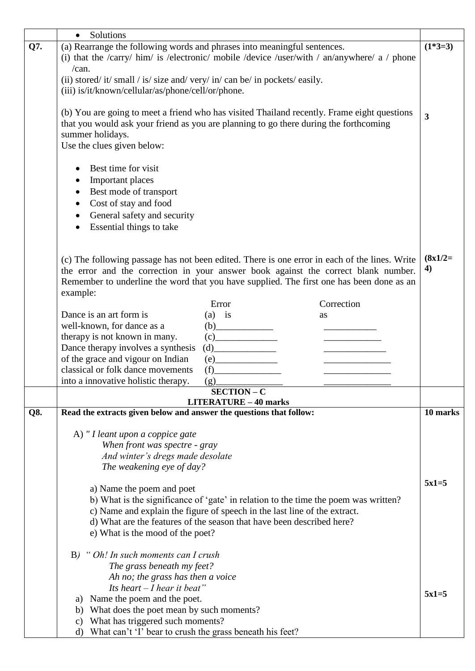|     | Solutions                                                                                                                               |                              |                                                                                                                                                                                                                                                                                 |                 |
|-----|-----------------------------------------------------------------------------------------------------------------------------------------|------------------------------|---------------------------------------------------------------------------------------------------------------------------------------------------------------------------------------------------------------------------------------------------------------------------------|-----------------|
| Q7. | (a) Rearrange the following words and phrases into meaningful sentences.                                                                |                              | (i) that the /carry/ him/ is /electronic/ mobile /device /user/with / an/anywhere/ $a$ / phone                                                                                                                                                                                  | $(1*3=3)$       |
|     | /can.                                                                                                                                   |                              |                                                                                                                                                                                                                                                                                 |                 |
|     | (ii) stored/ it/ small / is/ size and/ very/ in/ can be/ in pockets/ easily.<br>(iii) is/it/known/cellular/as/phone/cell/or/phone.      |                              |                                                                                                                                                                                                                                                                                 |                 |
|     |                                                                                                                                         |                              |                                                                                                                                                                                                                                                                                 |                 |
|     | that you would ask your friend as you are planning to go there during the forthcoming<br>summer holidays.<br>Use the clues given below: |                              | (b) You are going to meet a friend who has visited Thailand recently. Frame eight questions                                                                                                                                                                                     | 3               |
|     |                                                                                                                                         |                              |                                                                                                                                                                                                                                                                                 |                 |
|     | Best time for visit                                                                                                                     |                              |                                                                                                                                                                                                                                                                                 |                 |
|     | Important places                                                                                                                        |                              |                                                                                                                                                                                                                                                                                 |                 |
|     | Best mode of transport                                                                                                                  |                              |                                                                                                                                                                                                                                                                                 |                 |
|     | Cost of stay and food                                                                                                                   |                              |                                                                                                                                                                                                                                                                                 |                 |
|     | General safety and security<br>$\bullet$                                                                                                |                              |                                                                                                                                                                                                                                                                                 |                 |
|     | Essential things to take                                                                                                                |                              |                                                                                                                                                                                                                                                                                 |                 |
|     |                                                                                                                                         |                              |                                                                                                                                                                                                                                                                                 |                 |
|     | example:                                                                                                                                |                              | (c) The following passage has not been edited. There is one error in each of the lines. Write<br>the error and the correction in your answer book against the correct blank number.<br>Remember to underline the word that you have supplied. The first one has been done as an | $(8x1/2=$<br>4) |
|     |                                                                                                                                         | Error                        | Correction                                                                                                                                                                                                                                                                      |                 |
|     | Dance is an art form is                                                                                                                 | $(a)$ is                     | as                                                                                                                                                                                                                                                                              |                 |
|     | well-known, for dance as a                                                                                                              | (b)                          |                                                                                                                                                                                                                                                                                 |                 |
|     | therapy is not known in many.                                                                                                           | (c)                          |                                                                                                                                                                                                                                                                                 |                 |
|     | Dance therapy involves a synthesis                                                                                                      | (d)                          |                                                                                                                                                                                                                                                                                 |                 |
|     | of the grace and vigour on Indian                                                                                                       | (e)                          |                                                                                                                                                                                                                                                                                 |                 |
|     | classical or folk dance movements                                                                                                       | (f)                          |                                                                                                                                                                                                                                                                                 |                 |
|     | into a innovative holistic therapy.                                                                                                     | (g)                          |                                                                                                                                                                                                                                                                                 |                 |
|     |                                                                                                                                         | <b>SECTION - C</b>           |                                                                                                                                                                                                                                                                                 |                 |
| Q8. | Read the extracts given below and answer the questions that follow:                                                                     | <b>LITERATURE - 40 marks</b> |                                                                                                                                                                                                                                                                                 | 10 marks        |
|     |                                                                                                                                         |                              |                                                                                                                                                                                                                                                                                 |                 |
|     | A) "I leant upon a coppice gate                                                                                                         |                              |                                                                                                                                                                                                                                                                                 |                 |
|     | When front was spectre - gray                                                                                                           |                              |                                                                                                                                                                                                                                                                                 |                 |
|     | And winter's dregs made desolate                                                                                                        |                              |                                                                                                                                                                                                                                                                                 |                 |
|     | The weakening eye of day?                                                                                                               |                              |                                                                                                                                                                                                                                                                                 |                 |
|     |                                                                                                                                         |                              |                                                                                                                                                                                                                                                                                 | $5x1=5$         |
|     | a) Name the poem and poet                                                                                                               |                              |                                                                                                                                                                                                                                                                                 |                 |
|     |                                                                                                                                         |                              | b) What is the significance of 'gate' in relation to the time the poem was written?                                                                                                                                                                                             |                 |
|     | c) Name and explain the figure of speech in the last line of the extract.                                                               |                              |                                                                                                                                                                                                                                                                                 |                 |
|     | d) What are the features of the season that have been described here?                                                                   |                              |                                                                                                                                                                                                                                                                                 |                 |
|     | e) What is the mood of the poet?                                                                                                        |                              |                                                                                                                                                                                                                                                                                 |                 |
|     | B) "Oh! In such moments can I crush                                                                                                     |                              |                                                                                                                                                                                                                                                                                 |                 |
|     | The grass beneath my feet?                                                                                                              |                              |                                                                                                                                                                                                                                                                                 |                 |
|     | Ah no; the grass has then a voice                                                                                                       |                              |                                                                                                                                                                                                                                                                                 |                 |
|     | Its heart $-I$ hear it beat"                                                                                                            |                              |                                                                                                                                                                                                                                                                                 |                 |
|     | a) Name the poem and the poet.                                                                                                          |                              |                                                                                                                                                                                                                                                                                 | $5x1=5$         |
|     | b) What does the poet mean by such moments?                                                                                             |                              |                                                                                                                                                                                                                                                                                 |                 |
|     | c) What has triggered such moments?                                                                                                     |                              |                                                                                                                                                                                                                                                                                 |                 |
|     | d) What can't 'I' bear to crush the grass beneath his feet?                                                                             |                              |                                                                                                                                                                                                                                                                                 |                 |